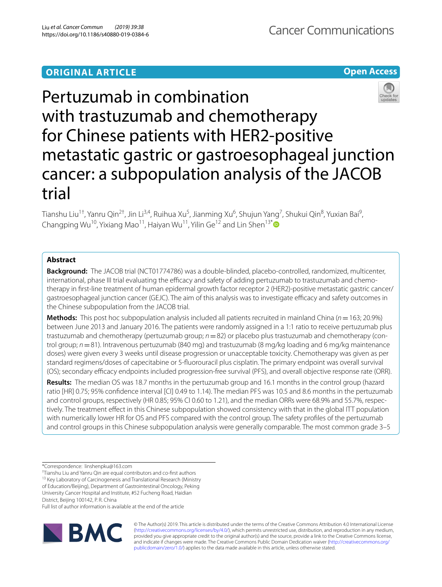# **ORIGINAL ARTICLE**



# Pertuzumab in combination with trastuzumab and chemotherapy for Chinese patients with HER2-positive metastatic gastric or gastroesophageal junction cancer: a subpopulation analysis of the JACOB trial

Tianshu Liu<sup>1†</sup>, Yanru Qin<sup>2†</sup>, Jin Li<sup>3,4</sup>, Ruihua Xu<sup>5</sup>, Jianming Xu<sup>6</sup>, Shujun Yang<sup>7</sup>, Shukui Qin<sup>8</sup>, Yuxian Bai<sup>9</sup>, Changping Wu<sup>10</sup>, Yixiang Mao<sup>11</sup>, Haiyan Wu<sup>11</sup>, Yilin Ge<sup>12</sup> and Lin Shen<sup>13[\\*](http://orcid.org/0000-0002-1205-049X)</sup>

# **Abstract**

**Background:** The JACOB trial (NCT01774786) was a double-blinded, placebo-controlled, randomized, multicenter, international, phase III trial evaluating the efficacy and safety of adding pertuzumab to trastuzumab and chemotherapy in frst-line treatment of human epidermal growth factor receptor 2 (HER2)-positive metastatic gastric cancer/ gastroesophageal junction cancer (GEJC). The aim of this analysis was to investigate efficacy and safety outcomes in the Chinese subpopulation from the JACOB trial.

**Methods:** This post hoc subpopulation analysis included all patients recruited in mainland China (*n*=163; 20.9%) between June 2013 and January 2016. The patients were randomly assigned in a 1:1 ratio to receive pertuzumab plus trastuzumab and chemotherapy (pertuzumab group; *n*=82) or placebo plus trastuzumab and chemotherapy (control group; *n*=81). Intravenous pertuzumab (840 mg) and trastuzumab (8 mg/kg loading and 6 mg/kg maintenance doses) were given every 3 weeks until disease progression or unacceptable toxicity. Chemotherapy was given as per standard regimens/doses of capecitabine or 5-fuorouracil plus cisplatin. The primary endpoint was overall survival (OS); secondary efficacy endpoints included progression-free survival (PFS), and overall objective response rate (ORR).

**Results:** The median OS was 18.7 months in the pertuzumab group and 16.1 months in the control group (hazard ratio [HR] 0.75; 95% confdence interval [CI] 0.49 to 1.14). The median PFS was 10.5 and 8.6 months in the pertuzumab and control groups, respectively (HR 0.85; 95% CI 0.60 to 1.21), and the median ORRs were 68.9% and 55.7%, respectively. The treatment efect in this Chinese subpopulation showed consistency with that in the global ITT population with numerically lower HR for OS and PFS compared with the control group. The safety profles of the pertuzumab and control groups in this Chinese subpopulation analysis were generally comparable. The most common grade 3–5

† Tianshu Liu and Yanru Qin are equal contributors and co-frst authors <sup>13</sup> Key Laboratory of Carcinogenesis and Translational Research (Ministry

of Education/Beijing), Department of Gastrointestinal Oncology, Peking

University Cancer Hospital and Institute, #52 Fucheng Road, Haidian

District, Beijing 100142, P. R. China

Full list of author information is available at the end of the article



© The Author(s) 2019. This article is distributed under the terms of the Creative Commons Attribution 4.0 International License [\(http://creativecommons.org/licenses/by/4.0/\)](http://creativecommons.org/licenses/by/4.0/), which permits unrestricted use, distribution, and reproduction in any medium, provided you give appropriate credit to the original author(s) and the source, provide a link to the Creative Commons license, and indicate if changes were made. The Creative Commons Public Domain Dedication waiver ([http://creativecommons.org/](http://creativecommons.org/publicdomain/zero/1.0/) [publicdomain/zero/1.0/](http://creativecommons.org/publicdomain/zero/1.0/)) applies to the data made available in this article, unless otherwise stated.

<sup>\*</sup>Correspondence: linshenpku@163.com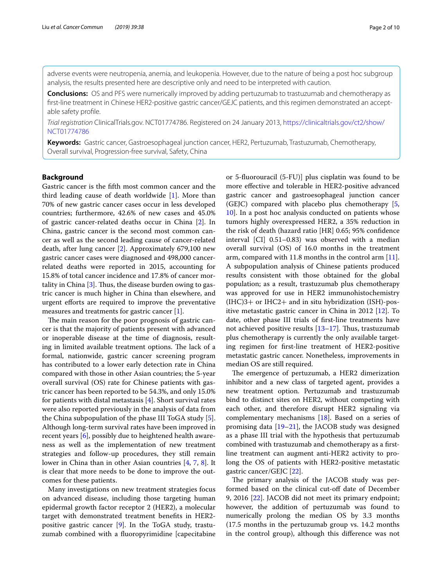adverse events were neutropenia, anemia, and leukopenia. However, due to the nature of being a post hoc subgroup analysis, the results presented here are descriptive only and need to be interpreted with caution.

**Conclusions:** OS and PFS were numerically improved by adding pertuzumab to trastuzumab and chemotherapy as frst-line treatment in Chinese HER2-positive gastric cancer/GEJC patients, and this regimen demonstrated an acceptable safety profle.

*Trial registration* ClinicalTrials.gov. NCT01774786. Registered on 24 January 2013, [https://clinicaltrials.gov/ct2/show/](https://clinicaltrials.gov/ct2/show/NCT01774786) [NCT01774786](https://clinicaltrials.gov/ct2/show/NCT01774786)

**Keywords:** Gastric cancer, Gastroesophageal junction cancer, HER2, Pertuzumab, Trastuzumab, Chemotherapy, Overall survival, Progression-free survival, Safety, China

# **Background**

Gastric cancer is the ffth most common cancer and the third leading cause of death worldwide [\[1\]](#page-8-0). More than 70% of new gastric cancer cases occur in less developed countries; furthermore, 42.6% of new cases and 45.0% of gastric cancer-related deaths occur in China [\[2\]](#page-8-1). In China, gastric cancer is the second most common cancer as well as the second leading cause of cancer-related death, after lung cancer [\[2](#page-8-1)]. Approximately 679,100 new gastric cancer cases were diagnosed and 498,000 cancerrelated deaths were reported in 2015, accounting for 15.8% of total cancer incidence and 17.8% of cancer mortality in China  $[3]$  $[3]$ . Thus, the disease burden owing to gastric cancer is much higher in China than elsewhere, and urgent eforts are required to improve the preventative measures and treatments for gastric cancer [[1\]](#page-8-0).

The main reason for the poor prognosis of gastric cancer is that the majority of patients present with advanced or inoperable disease at the time of diagnosis, resulting in limited available treatment options. The lack of a formal, nationwide, gastric cancer screening program has contributed to a lower early detection rate in China compared with those in other Asian countries; the 5-year overall survival (OS) rate for Chinese patients with gastric cancer has been reported to be 54.3%, and only 15.0% for patients with distal metastasis [[4\]](#page-8-3). Short survival rates were also reported previously in the analysis of data from the China subpopulation of the phase III ToGA study [\[5](#page-8-4)]. Although long-term survival rates have been improved in recent years [\[6](#page-8-5)], possibly due to heightened health awareness as well as the implementation of new treatment strategies and follow-up procedures, they still remain lower in China than in other Asian countries [\[4](#page-8-3), [7](#page-8-6), [8\]](#page-8-7). It is clear that more needs to be done to improve the outcomes for these patients.

Many investigations on new treatment strategies focus on advanced disease, including those targeting human epidermal growth factor receptor 2 (HER2), a molecular target with demonstrated treatment benefts in HER2 positive gastric cancer [[9\]](#page-8-8). In the ToGA study, trastuzumab combined with a fuoropyrimidine [capecitabine or 5-fuorouracil (5-FU)] plus cisplatin was found to be more efective and tolerable in HER2-positive advanced gastric cancer and gastroesophageal junction cancer (GEJC) compared with placebo plus chemotherapy [\[5](#page-8-4), [10\]](#page-8-9). In a post hoc analysis conducted on patients whose tumors highly overexpressed HER2, a 35% reduction in the risk of death (hazard ratio [HR] 0.65; 95% confdence interval [CI] 0.51–0.83) was observed with a median overall survival (OS) of 16.0 months in the treatment arm, compared with 11.8 months in the control arm [\[11](#page-8-10)]. A subpopulation analysis of Chinese patients produced results consistent with those obtained for the global population; as a result, trastuzumab plus chemotherapy was approved for use in HER2 immunohistochemistry  $(1HC)3+$  or IHC2+ and in situ hybridization (ISH)-positive metastatic gastric cancer in China in 2012 [\[12](#page-8-11)]. To date, other phase III trials of frst-line treatments have not achieved positive results  $[13-17]$  $[13-17]$ . Thus, trastuzumab plus chemotherapy is currently the only available targeting regimen for frst-line treatment of HER2-positive metastatic gastric cancer. Nonetheless, improvements in median OS are still required.

The emergence of pertuzumab, a HER2 dimerization inhibitor and a new class of targeted agent, provides a new treatment option. Pertuzumab and trastuzumab bind to distinct sites on HER2, without competing with each other, and therefore disrupt HER2 signaling via complementary mechanisms [[18\]](#page-8-14). Based on a series of promising data [[19](#page-8-15)[–21](#page-8-16)], the JACOB study was designed as a phase III trial with the hypothesis that pertuzumab combined with trastuzumab and chemotherapy as a frstline treatment can augment anti-HER2 activity to prolong the OS of patients with HER2-positive metastatic gastric cancer/GEJC [\[22\]](#page-8-17).

The primary analysis of the JACOB study was performed based on the clinical cut-off date of December 9, 2016 [\[22\]](#page-8-17). JACOB did not meet its primary endpoint; however, the addition of pertuzumab was found to numerically prolong the median OS by 3.3 months (17.5 months in the pertuzumab group vs. 14.2 months in the control group), although this diference was not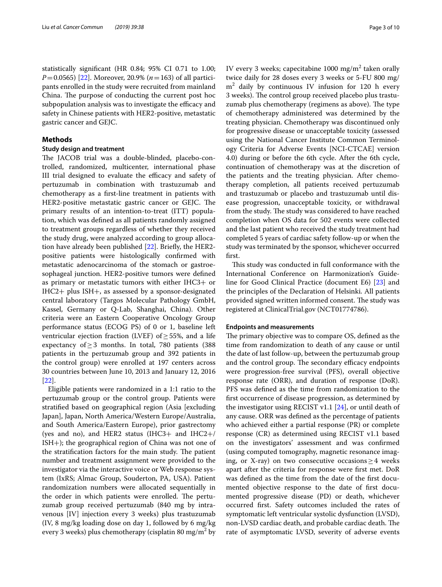statistically signifcant (HR 0.84; 95% CI 0.71 to 1.00; *P*=0.0565) [\[22](#page-8-17)]. Moreover, 20.9% (*n*=163) of all participants enrolled in the study were recruited from mainland China. The purpose of conducting the current post hoc subpopulation analysis was to investigate the efficacy and safety in Chinese patients with HER2-positive, metastatic gastric cancer and GEJC.

#### **Methods**

# **Study design and treatment**

The JACOB trial was a double-blinded, placebo-controlled, randomized, multicenter, international phase III trial designed to evaluate the efficacy and safety of pertuzumab in combination with trastuzumab and chemotherapy as a frst-line treatment in patients with HER2-positive metastatic gastric cancer or GEJC. The primary results of an intention-to-treat (ITT) population, which was defned as all patients randomly assigned to treatment groups regardless of whether they received the study drug, were analyzed according to group alloca-tion have already been published [[22\]](#page-8-17). Briefly, the HER2positive patients were histologically confrmed with metastatic adenocarcinoma of the stomach or gastroesophageal junction. HER2-positive tumors were defned as primary or metastatic tumors with either IHC3+ or IHC2+ plus ISH+, as assessed by a sponsor-designated central laboratory (Targos Molecular Pathology GmbH, Kassel, Germany or Q-Lab, Shanghai, China). Other criteria were an Eastern Cooperative Oncology Group performance status (ECOG PS) of 0 or 1, baseline left ventricular ejection fraction (LVEF) of  $\geq$  55%, and a life expectancy of≥3 months. In total, 780 patients (388 patients in the pertuzumab group and 392 patients in the control group) were enrolled at 197 centers across 30 countries between June 10, 2013 and January 12, 2016 [[22\]](#page-8-17).

Eligible patients were randomized in a 1:1 ratio to the pertuzumab group or the control group. Patients were stratifed based on geographical region (Asia [excluding Japan], Japan, North America/Western Europe/Australia, and South America/Eastern Europe), prior gastrectomy (yes and no), and HER2 status (IHC3+ and IHC2+/ ISH+); the geographical region of China was not one of the stratification factors for the main study. The patient number and treatment assignment were provided to the investigator via the interactive voice or Web response system (IxRS; Almac Group, Souderton, PA, USA). Patient randomization numbers were allocated sequentially in the order in which patients were enrolled. The pertuzumab group received pertuzumab (840 mg by intravenous [IV] injection every 3 weeks) plus trastuzumab (IV, 8 mg/kg loading dose on day 1, followed by 6 mg/kg every 3 weeks) plus chemotherapy (cisplatin 80 mg/m $^2$  by

IV every 3 weeks; capecitabine 1000 mg/m<sup>2</sup> taken orally twice daily for 28 doses every 3 weeks or 5-FU 800 mg/ m2 daily by continuous IV infusion for 120 h every 3 weeks). The control group received placebo plus trastuzumab plus chemotherapy (regimens as above). The type of chemotherapy administered was determined by the treating physician. Chemotherapy was discontinued only for progressive disease or unacceptable toxicity (assessed using the National Cancer Institute Common Terminology Criteria for Adverse Events [NCI-CTCAE] version 4.0) during or before the 6th cycle. After the 6th cycle, continuation of chemotherapy was at the discretion of the patients and the treating physician. After chemotherapy completion, all patients received pertuzumab and trastuzumab or placebo and trastuzumab until disease progression, unacceptable toxicity, or withdrawal from the study. The study was considered to have reached completion when OS data for 502 events were collected and the last patient who received the study treatment had completed 5 years of cardiac safety follow-up or when the study was terminated by the sponsor, whichever occurred frst.

This study was conducted in full conformance with the International Conference on Harmonization's Guideline for Good Clinical Practice (document E6) [[23\]](#page-8-18) and the principles of the Declaration of Helsinki. All patients provided signed written informed consent. The study was registered at ClinicalTrial.gov (NCT01774786).

# **Endpoints and measurements**

The primary objective was to compare OS, defined as the time from randomization to death of any cause or until the date of last follow-up, between the pertuzumab group and the control group. The secondary efficacy endpoints were progression-free survival (PFS), overall objective response rate (ORR), and duration of response (DoR). PFS was defned as the time from randomization to the frst occurrence of disease progression, as determined by the investigator using RECIST v1.1 [\[24\]](#page-8-19), or until death of any cause. ORR was defned as the percentage of patients who achieved either a partial response (PR) or complete response (CR) as determined using RECIST v1.1 based on the investigators' assessment and was confrmed (using computed tomography, magnetic resonance imaging, or X-ray) on two consecutive occasions≥4 weeks apart after the criteria for response were frst met. DoR was defned as the time from the date of the frst documented objective response to the date of frst documented progressive disease (PD) or death, whichever occurred frst. Safety outcomes included the rates of symptomatic left ventricular systolic dysfunction (LVSD), non-LVSD cardiac death, and probable cardiac death. The rate of asymptomatic LVSD, severity of adverse events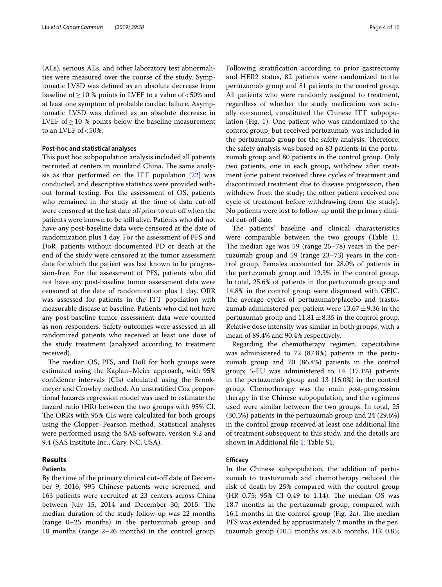(AEs), serious AEs, and other laboratory test abnormalities were measured over the course of the study. Symptomatic LVSD was defned as an absolute decrease from baseline of  $≥10$  % points in LVEF to a value of <50% and at least one symptom of probable cardiac failure. Asymptomatic LVSD was defned as an absolute decrease in LVEF of  $\geq$  10 % points below the baseline measurement to an LVEF of  $<$  50%.

# **Post‑hoc and statistical analyses**

This post hoc subpopulation analysis included all patients recruited at centers in mainland China. The same analysis as that performed on the ITT population [[22\]](#page-8-17) was conducted, and descriptive statistics were provided without formal testing. For the assessment of OS, patients who remained in the study at the time of data cut-of were censored at the last date of/prior to cut-off when the patients were known to be still alive. Patients who did not have any post-baseline data were censored at the date of randomization plus 1 day. For the assessment of PFS and DoR, patients without documented PD or death at the end of the study were censored at the tumor assessment date for which the patient was last known to be progression-free. For the assessment of PFS, patients who did not have any post-baseline tumor assessment data were censored at the date of randomization plus 1 day. ORR was assessed for patients in the ITT population with measurable disease at baseline. Patients who did not have any post-baseline tumor assessment data were counted as non-responders. Safety outcomes were assessed in all randomized patients who received at least one dose of the study treatment (analyzed according to treatment received).

The median OS, PFS, and DoR for both groups were estimated using the Kaplan–Meier approach, with 95% confdence intervals (CIs) calculated using the Brookmeyer and Crowley method. An unstratifed Cox proportional hazards regression model was used to estimate the hazard ratio (HR) between the two groups with 95% CI. The ORRs with 95% CIs were calculated for both groups using the Clopper–Pearson method. Statistical analyses were performed using the SAS software, version 9.2 and 9.4 (SAS Institute Inc., Cary, NC, USA).

# **Results**

# **Patients**

By the time of the primary clinical cut-off date of December 9, 2016, 995 Chinese patients were screened, and 163 patients were recruited at 23 centers across China between July 15, 2014 and December 30, 2015. The median duration of the study follow-up was 22 months (range 0–25 months) in the pertuzumab group and 18 months (range 2–26 months) in the control group. Following stratifcation according to prior gastrectomy and HER2 status, 82 patients were randomized to the pertuzumab group and 81 patients to the control group. All patients who were randomly assigned to treatment, regardless of whether the study medication was actually consumed, constituted the Chinese ITT subpopulation (Fig. [1](#page-4-0)). One patient who was randomized to the control group, but received pertuzumab, was included in the pertuzumab group for the safety analysis. Therefore, the safety analysis was based on 83 patients in the pertuzumab group and 80 patients in the control group. Only two patients, one in each group, withdrew after treatment (one patient received three cycles of treatment and discontinued treatment due to disease progression, then withdrew from the study; the other patient received one cycle of treatment before withdrawing from the study). No patients were lost to follow-up until the primary clinical cut-off date.

The patients' baseline and clinical characteristics were comparable between the two groups (Table [1](#page-5-0)). The median age was 59 (range  $25-78$ ) years in the pertuzumab group and 59 (range 23–73) years in the control group. Females accounted for 28.0% of patients in the pertuzumab group and 12.3% in the control group. In total, 25.6% of patients in the pertuzumab group and 14.8% in the control group were diagnosed with GEJC. The average cycles of pertuzumab/placebo and trastuzumab administered per patient were  $13.67 \pm 9.36$  in the pertuzumab group and  $11.81 \pm 8.35$  in the control group. Relative dose intensity was similar in both groups, with a mean of 89.4% and 90.4% respectively.

Regarding the chemotherapy regimen, capecitabine was administered to 72 (87.8%) patients in the pertuzumab group and 70 (86.4%) patients in the control group; 5-FU was administered to 14 (17.1%) patients in the pertuzumab group and 13 (16.0%) in the control group. Chemotherapy was the main post-progression therapy in the Chinese subpopulation, and the regimens used were similar between the two groups. In total, 25 (30.5%) patients in the pertuzumab group and 24 (29.6%) in the control group received at least one additional line of treatment subsequent to this study, and the details are shown in Additional fle [1:](#page-7-0) Table S1.

# **Efficacy**

In the Chinese subpopulation, the addition of pertuzumab to trastuzumab and chemotherapy reduced the risk of death by 25% compared with the control group (HR 0.75; 95% CI 0.49 to 1.14). The median OS was 18.7 months in the pertuzumab group, compared with 16.1 months in the control group (Fig.  $2a$ ). The median PFS was extended by approximately 2 months in the pertuzumab group (10.5 months vs. 8.6 months, HR 0.85;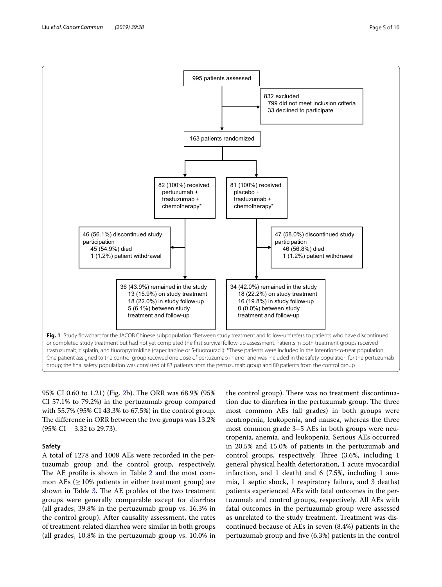

<span id="page-4-0"></span>95% CI 0.60 to 1.[2](#page-6-0)1) (Fig. 2b). The ORR was 68.9% (95%) CI 57.1% to 79.2%) in the pertuzumab group compared with 55.7% (95% CI 43.3% to 67.5%) in the control group. The difference in ORR between the two groups was 13.2%  $(95\% \text{ CI} - 3.32 \text{ to } 29.73).$ 

# **Safety**

A total of 1278 and 1008 AEs were recorded in the pertuzumab group and the control group, respectively. The AE profile is shown in Table [2](#page-6-1) and the most common AEs ( $\geq$  10% patients in either treatment group) are shown in Table  $3$ . The AE profiles of the two treatment groups were generally comparable except for diarrhea (all grades, 39.8% in the pertuzumab group vs. 16.3% in the control group). After causality assessment, the rates of treatment-related diarrhea were similar in both groups (all grades, 10.8% in the pertuzumab group vs. 10.0% in

the control group). There was no treatment discontinuation due to diarrhea in the pertuzumab group. The three most common AEs (all grades) in both groups were neutropenia, leukopenia, and nausea, whereas the three most common grade 3–5 AEs in both groups were neutropenia, anemia, and leukopenia. Serious AEs occurred in 20.5% and 15.0% of patients in the pertuzumab and control groups, respectively. Three  $(3.6\%$ , including 1 general physical health deterioration, 1 acute myocardial infarction, and 1 death) and 6 (7.5%, including 1 anemia, 1 septic shock, 1 respiratory failure, and 3 deaths) patients experienced AEs with fatal outcomes in the pertuzumab and control groups, respectively. All AEs with fatal outcomes in the pertuzumab group were assessed as unrelated to the study treatment. Treatment was discontinued because of AEs in seven (8.4%) patients in the pertuzumab group and fve (6.3%) patients in the control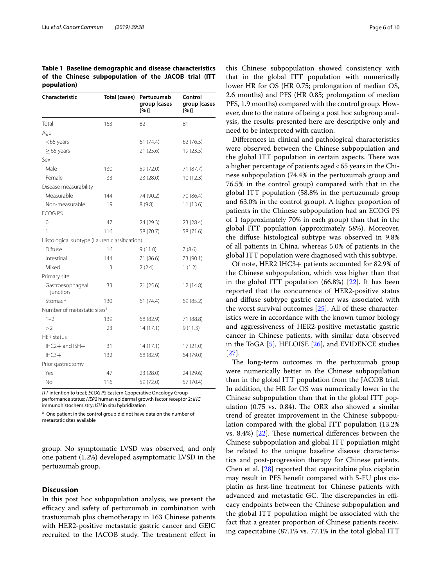<span id="page-5-0"></span>**Table 1 Baseline demographic and disease characteristics of the Chinese subpopulation of the JACOB trial (ITT population)**

| Characteristic                               | Total (cases) | Pertuzumab<br>group [cases<br>(%)] | Control<br>group [cases<br>(%)] |
|----------------------------------------------|---------------|------------------------------------|---------------------------------|
| Total                                        | 163           | 82                                 | 81                              |
| Age                                          |               |                                    |                                 |
| <65 years                                    |               | 61(74.4)                           | 62 (76.5)                       |
| $\geq$ 65 years                              |               | 21(25.6)                           | 19 (23.5)                       |
| Sex                                          |               |                                    |                                 |
| Male                                         | 130           | 59 (72.0)                          | 71 (87.7)                       |
| Female                                       | 33            | 23 (28.0)                          | 10(12.3)                        |
| Disease measurability                        |               |                                    |                                 |
| Measurable                                   | 144           | 74 (90.2)                          | 70 (86.4)                       |
| Non-measurable                               | 19            | 8(9.8)                             | 11(13.6)                        |
| <b>FCOG PS</b>                               |               |                                    |                                 |
| 0                                            | 47            | 24 (29.3)                          | 23 (28.4)                       |
| 1                                            | 116           | 58 (70.7)                          | 58 (71.6)                       |
| Histological subtype (Lauren classification) |               |                                    |                                 |
| Diffuse                                      | 16            | 9(11.0)                            | 7(8.6)                          |
| Intestinal                                   | 144           | 71 (86.6)                          | 73 (90.1)                       |
| Mixed                                        | 3             | 2(2.4)                             | 1(1.2)                          |
| Primary site                                 |               |                                    |                                 |
| Gastroesophageal<br>junction                 | 33            | 21(25.6)                           | 12 (14.8)                       |
| Stomach                                      | 130           | 61(74.4)                           | 69 (85.2)                       |
| Number of metastatic sites <sup>a</sup>      |               |                                    |                                 |
| $1 - 2$                                      | 139           | 68 (82.9)                          | 71 (88.8)                       |
| >2                                           | 23            | 14(17.1)                           | 9(11.3)                         |
| <b>HER status</b>                            |               |                                    |                                 |
| IHC2+ and ISH+                               | 31            | 14(17.1)                           | 17(21.0)                        |
| $IHC3+$                                      | 132           | 68 (82.9)                          | 64 (79.0)                       |
| Prior gastrectomy                            |               |                                    |                                 |
| Yes                                          | 47            | 23 (28.0)                          | 24 (29.6)                       |
| No                                           | 116           | 59 (72.0)                          | 57 (70.4)                       |

*ITT* intention to treat; *ECOG PS* Eastern Cooperative Oncology Group performance status; *HER2* human epidermal growth factor receptor 2; *IHC* immunohistochemistry; *ISH* in situ hybridization

<sup>a</sup> One patient in the control group did not have data on the number of metastatic sites available

group. No symptomatic LVSD was observed, and only one patient (1.2%) developed asymptomatic LVSD in the pertuzumab group.

# **Discussion**

In this post hoc subpopulation analysis, we present the efficacy and safety of pertuzumab in combination with trastuzumab plus chemotherapy in 163 Chinese patients with HER2-positive metastatic gastric cancer and GEJC recruited to the JACOB study. The treatment effect in this Chinese subpopulation showed consistency with that in the global ITT population with numerically lower HR for OS (HR 0.75; prolongation of median OS, 2.6 months) and PFS (HR 0.85; prolongation of median PFS, 1.9 months) compared with the control group. However, due to the nature of being a post hoc subgroup analysis, the results presented here are descriptive only and need to be interpreted with caution.

Diferences in clinical and pathological characteristics were observed between the Chinese subpopulation and the global ITT population in certain aspects. There was a higher percentage of patients aged  $<$  65 years in the Chinese subpopulation (74.4% in the pertuzumab group and 76.5% in the control group) compared with that in the global ITT population (58.8% in the pertuzumab group and 63.0% in the control group). A higher proportion of patients in the Chinese subpopulation had an ECOG PS of 1 (approximately 70% in each group) than that in the global ITT population (approximately 58%). Moreover, the difuse histological subtype was observed in 9.8% of all patients in China, whereas 5.0% of patients in the global ITT population were diagnosed with this subtype.

Of note, HER2 IHC3+ patients accounted for 82.9% of the Chinese subpopulation, which was higher than that in the global ITT population (66.8%) [[22\]](#page-8-17). It has been reported that the concurrence of HER2-positive status and difuse subtype gastric cancer was associated with the worst survival outcomes [[25\]](#page-8-20). All of these characteristics were in accordance with the known tumor biology and aggressiveness of HER2-positive metastatic gastric cancer in Chinese patients, with similar data observed in the ToGA [[5\]](#page-8-4), HELOISE [\[26](#page-8-21)], and EVIDENCE studies [[27\]](#page-8-22).

The long-term outcomes in the pertuzumab group were numerically better in the Chinese subpopulation than in the global ITT population from the JACOB trial. In addition, the HR for OS was numerically lower in the Chinese subpopulation than that in the global ITT population  $(0.75 \text{ vs. } 0.84)$ . The ORR also showed a similar trend of greater improvement in the Chinese subpopulation compared with the global ITT population (13.2% vs. 8.4%)  $[22]$  $[22]$ . These numerical differences between the Chinese subpopulation and global ITT population might be related to the unique baseline disease characteristics and post-progression therapy for Chinese patients. Chen et al. [[28\]](#page-9-0) reported that capecitabine plus cisplatin may result in PFS beneft compared with 5-FU plus cisplatin as frst-line treatment for Chinese patients with advanced and metastatic GC. The discrepancies in efficacy endpoints between the Chinese subpopulation and the global ITT population might be associated with the fact that a greater proportion of Chinese patients receiving capecitabine (87.1% vs. 77.1% in the total global ITT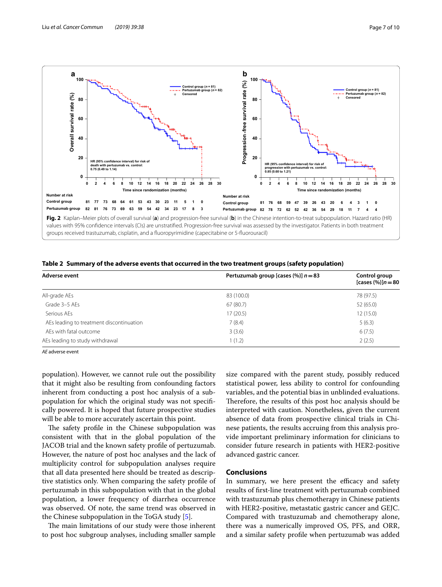

| Adverse event                            | Pertuzumab group [cases $%$ ] $n = 83$ | Control group<br>[cases $(\%)]n = 80$ |  |
|------------------------------------------|----------------------------------------|---------------------------------------|--|
| All-grade AEs                            | 83 (100.0)                             | 78 (97.5)                             |  |
| Grade 3-5 AEs                            | 67(80.7)                               | 52(65.0)                              |  |
| Serious AEs                              | 17(20.5)                               | 12(15.0)                              |  |
| AEs leading to treatment discontinuation | 7(8.4)                                 | 5(6.3)                                |  |
| AEs with fatal outcome                   | 3(3.6)                                 | 6(7.5)                                |  |
| AEs leading to study withdrawal          | 1(1.2)                                 | 2(2.5)                                |  |

<span id="page-6-1"></span><span id="page-6-0"></span>

|  | Table 2 Summary of the adverse events that occurred in the two treatment groups (safety population) |  |  |  |
|--|-----------------------------------------------------------------------------------------------------|--|--|--|
|--|-----------------------------------------------------------------------------------------------------|--|--|--|

*AE* adverse event

population). However, we cannot rule out the possibility that it might also be resulting from confounding factors inherent from conducting a post hoc analysis of a subpopulation for which the original study was not specifcally powered. It is hoped that future prospective studies will be able to more accurately ascertain this point.

The safety profile in the Chinese subpopulation was consistent with that in the global population of the JACOB trial and the known safety profle of pertuzumab. However, the nature of post hoc analyses and the lack of multiplicity control for subpopulation analyses require that all data presented here should be treated as descriptive statistics only. When comparing the safety profle of pertuzumab in this subpopulation with that in the global population, a lower frequency of diarrhea occurrence was observed. Of note, the same trend was observed in the Chinese subpopulation in the ToGA study [\[5](#page-8-4)].

The main limitations of our study were those inherent to post hoc subgroup analyses, including smaller sample size compared with the parent study, possibly reduced statistical power, less ability to control for confounding variables, and the potential bias in unblinded evaluations. Therefore, the results of this post hoc analysis should be interpreted with caution. Nonetheless, given the current absence of data from prospective clinical trials in Chinese patients, the results accruing from this analysis provide important preliminary information for clinicians to consider future research in patients with HER2-positive advanced gastric cancer.

# **Conclusions**

In summary, we here present the efficacy and safety results of frst-line treatment with pertuzumab combined with trastuzumab plus chemotherapy in Chinese patients with HER2-positive, metastatic gastric cancer and GEJC. Compared with trastuzumab and chemotherapy alone, there was a numerically improved OS, PFS, and ORR, and a similar safety profle when pertuzumab was added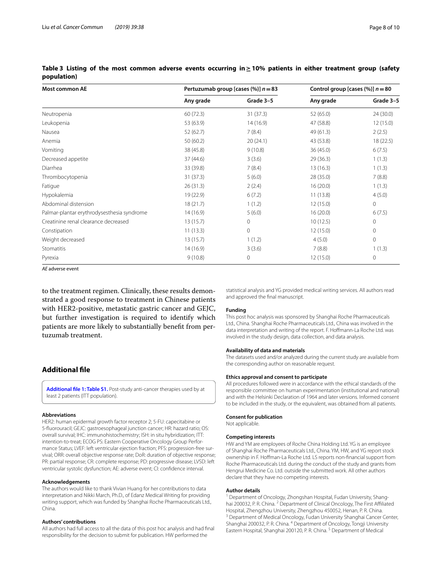| <b>Most common AE</b>                      | Pertuzumab group [cases $%$ ] $n=83$ |           | Control group [cases $(\%)$ ] $n = 80$ |           |
|--------------------------------------------|--------------------------------------|-----------|----------------------------------------|-----------|
|                                            | Any grade                            | Grade 3-5 | Any grade                              | Grade 3-5 |
| Neutropenia                                | 60 (72.3)                            | 31 (37.3) | 52 (65.0)                              | 24(30.0)  |
| Leukopenia                                 | 53 (63.9)                            | 14(16.9)  | 47 (58.8)                              | 12(15.0)  |
| Nausea                                     | 52 (62.7)                            | 7(8.4)    | 49 (61.3)                              | 2(2.5)    |
| Anemia                                     | 50 (60.2)                            | 20(24.1)  | 43 (53.8)                              | 18(22.5)  |
| Vomiting                                   | 38 (45.8)                            | 9(10.8)   | 36(45.0)                               | 6(7.5)    |
| Decreased appetite                         | 37(44.6)                             | 3(3.6)    | 29(36.3)                               | 1(1.3)    |
| Diarrhea                                   | 33 (39.8)                            | 7(8.4)    | 13(16.3)                               | 1(1.3)    |
| Thrombocytopenia                           | 31(37.3)                             | 5(6.0)    | 28 (35.0)                              | 7(8.8)    |
| Fatigue                                    | 26(31.3)                             | 2(2.4)    | 16(20.0)                               | 1(1.3)    |
| Hypokalemia                                | 19 (22.9)                            | 6(7.2)    | 11(13.8)                               | 4(5.0)    |
| Abdominal distension                       | 18(21.7)                             | 1(1.2)    | 12(15.0)                               | $\circ$   |
| Palmar-plantar erythrodysesthesia syndrome | 14 (16.9)                            | 5(6.0)    | 16(20.0)                               | 6(7.5)    |
| Creatinine renal clearance decreased       | 13 (15.7)                            | 0         | 10(12.5)                               | $\circ$   |
| Constipation                               | 11(13.3)                             | 0         | 12(15.0)                               | $\circ$   |
| Weight decreased                           | 13(15.7)                             | 1(1.2)    | 4(5.0)                                 | $\Omega$  |
| Stomatitis                                 | 14 (16.9)                            | 3(3.6)    | 7(8.8)                                 | 1(1.3)    |
| Pyrexia                                    | 9(10.8)                              | 0         | 12(15.0)                               | $\circ$   |

<span id="page-7-1"></span>**Table 3 Listing of the most common adverse events occurring in≥10% patients in either treatment group (safety population)**

*AE* adverse event

to the treatment regimen. Clinically, these results demonstrated a good response to treatment in Chinese patients with HER2-positive, metastatic gastric cancer and GEJC, but further investigation is required to identify which patients are more likely to substantially beneft from pertuzumab treatment.

# **Additional fle**

<span id="page-7-0"></span>**[Additional fle 1: Table S1.](https://doi.org/10.1186/s40880-019-0384-6)** Post-study anti-cancer therapies used by at least 2 patients (ITT population).

#### **Abbreviations**

HER2: human epidermal growth factor receptor 2; 5-FU: capecitabine or 5-fuorouracil; GEJC: gastroesophageal junction cancer; HR: hazard ratio; OS: overall survival; IHC: immunohistochemistry; ISH: in situ hybridization; ITT: intention-to-treat; ECOG PS: Eastern Cooperative Oncology Group Performance Status; LVEF: left ventricular ejection fraction; PFS: progression-free survival; ORR: overall objective response rate; DoR: duration of objective response; PR: partial response; CR: complete response; PD: progressive disease; LVSD: left ventricular systolic dysfunction; AE: adverse event; CI: confdence interval.

#### **Acknowledgements**

The authors would like to thank Vivian Huang for her contributions to data interpretation and Nikki March, Ph.D., of Edanz Medical Writing for providing writing support, which was funded by Shanghai Roche Pharmaceuticals Ltd., China.

#### **Authors' contributions**

All authors had full access to all the data of this post hoc analysis and had fnal responsibility for the decision to submit for publication. HW performed the

statistical analysis and YG provided medical writing services. All authors read and approved the fnal manuscript.

#### **Funding**

This post hoc analysis was sponsored by Shanghai Roche Pharmaceuticals Ltd., China. Shanghai Roche Pharmaceuticals Ltd., China was involved in the data interpretation and writing of the report. F. Hofmann-La Roche Ltd. was involved in the study design, data collection, and data analysis.

#### **Availability of data and materials**

The datasets used and/or analyzed during the current study are available from the corresponding author on reasonable request.

#### **Ethics approval and consent to participate**

All procedures followed were in accordance with the ethical standards of the responsible committee on human experimentation (institutional and national) and with the Helsinki Declaration of 1964 and later versions. Informed consent to be included in the study, or the equivalent, was obtained from all patients.

#### **Consent for publication**

Not applicable.

#### **Competing interests**

HW and YM are employees of Roche China Holding Ltd. YG is an employee of Shanghai Roche Pharmaceuticals Ltd., China. YM, HW, and YG report stock ownership in F. Hofman-La Roche Ltd. LS reports non-fnancial support from Roche Pharmaceuticals Ltd. during the conduct of the study and grants from Hengrui Medicine Co. Ltd. outside the submitted work. All other authors declare that they have no competing interests.

#### **Author details**

<sup>1</sup> Department of Oncology, Zhongshan Hospital, Fudan University, Shanghai 200032, P. R. China. <sup>2</sup> Department of Clinical Oncology, The First Affiliated<br>Hospital, Zhengzhou University, Zhengzhou 450052, Henan, P. R. China. <sup>3</sup> Department of Medical Oncology, Fudan University Shanghai Cancer Center, Shanghai 200032, P. R. China. <sup>4</sup> Department of Oncology, Tongji University Eastern Hospital, Shanghai 200120, P. R. China.<sup>5</sup> Department of Medical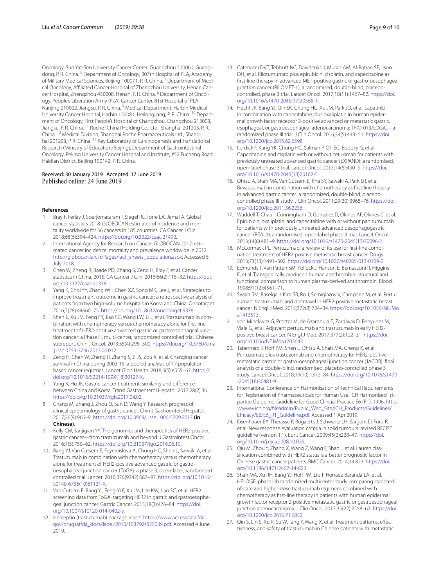Oncology, Sun Yat-Sen University Cancer Center, Guangzhou 510060, Guangdong, P. R. China. <sup>6</sup> Department of Oncology, 307th Hospital of PLA, Academy of Military Medical Sciences, Beijing 100071, P. R. China. <sup>7</sup> Department of Medical Oncology, Afliated Cancer Hospital of Zhengzhou University, Henan Cancer Hospital, Zhengzhou 450008, Henan, P. R. China. <sup>8</sup> Department of Oncology, People's Liberation Army (PLA) Cancer Center, 81st Hospital of PLA, Nanjing 210002, Jiangsu, P. R. China. 9 Medical Department, Harbin Medical University Cancer Hospital, Harbin 150081, Heilongjiang, P. R. China. 10 Department of Oncology, First People's Hospital of Changzhou, Changzhou 213003, Jiangsu, P. R. China. <sup>11</sup> Roche (China) Holding Co., Ltd., Shanghai 201203, P. R. China. 12 Medical Division, Shanghai Roche Pharmaceuticals Ltd., Shanghai 201203, P. R. China. <sup>13</sup> Key Laboratory of Carcinogenesis and Translational Research (Ministry of Education/Beijing), Department of Gastrointestinal Oncology, Peking University Cancer Hospital and Institute, #52 Fucheng Road, Haidian District, Beijing 100142, P. R. China.

# Received: 30 January 2019 Accepted: 17 June 2019 Published online: 24 June 2019

#### **References**

- <span id="page-8-0"></span>1. Bray F, Ferlay J, Soerjomataram I, Siegel RL, Torre LA, Jemal A. Global cancer statistics 2018: GLOBOCAN estimates of incidence and mortality worldwide for 36 cancers in 185 countries. CA Cancer J Clin. 2018;68(6):394–424. <https://doi.org/10.3322/caac.21492>.
- <span id="page-8-1"></span>2. International Agency for Research on Cancer. GLOBOCAN 2012: estimated cancer incidence, mortality and prevalence worldwide in 2012. [http://globocan.iarc.fr/Pages/fact\\_sheets\\_population.aspx](http://globocan.iarc.fr/Pages/fact_sheets_population.aspx). Accessed 5 July 2018.
- <span id="page-8-2"></span>3. Chen W, Zheng R, Baade PD, Zhang S, Zeng H, Bray F, et al. Cancer statistics in China, 2015. CA Cancer J Clin. 2016;66(2):115–32. [https://doi.](https://doi.org/10.3322/caac.21338) [org/10.3322/caac.21338](https://doi.org/10.3322/caac.21338).
- <span id="page-8-3"></span>4. Yang K, Choi YY, Zhang WH, Chen XZ, Song MK, Lee J, et al. Strategies to improve treatment outcome in gastric cancer: a retrospective analysis of patients from two high-volume hospitals in Korea and China. Oncotarget. 2016;7(28):44660–75. [https://doi.org/10.18632/oncotarget.9378.](https://doi.org/10.18632/oncotarget.9378)
- <span id="page-8-4"></span>5. Shen L, Xu JM, Feng FY, Jiao SC, Wang LW, Li J, et al. Trastuzumab in combination with chemotherapy versus chemotherapy alone for frst-line treatment of HER2-positive advanced gastric or gastroesophageal junction cancer: a Phase III, multi-center, randomized controlled trial, Chinese subreport. Chin J Oncol. 2013;35(4):295–300. [https://doi.org/10.3760/cma](https://doi.org/10.3760/cma.j.issn.0253-3766.2013.04.012) [.j.issn.0253-3766.2013.04.012.](https://doi.org/10.3760/cma.j.issn.0253-3766.2013.04.012)
- <span id="page-8-5"></span>6. Zeng H, Chen W, Zheng R, Zhang S, Ji JS, Zou X, et al. Changing cancer survival in China during 2003-15: a pooled analysis of 17 populationbased cancer registries. Lancet Glob Health. 2018;6(5):e555–67. [https://](https://doi.org/10.1016/S2214-109X(18)30127-X) [doi.org/10.1016/S2214-109X\(18\)30127-X.](https://doi.org/10.1016/S2214-109X(18)30127-X)
- <span id="page-8-6"></span>7. Yang K, Hu JK. Gastric cancer treatment: similarity and diference between China and Korea. Transl Gastroenterol Hepatol. 2017;28(2):36. [https://doi.org/10.21037/tgh.2017.04.02.](https://doi.org/10.21037/tgh.2017.04.02)
- <span id="page-8-7"></span>8. Chang M, Zhang J, Zhou Q, Sun D, Wang Y. Research progress of clinical epidemiology of gastric cancer. Chin J Gastroenterol Hepatol. 2017;26(9):966–9.<https://doi.org/10.3969/j.issn.1006-5709.2017> **(in Chinese)**.
- <span id="page-8-8"></span>9. Kelly CM, Janjigian YY. The genomics and therapeutics of HER2-positive gastric cancer—from trastuzumab and beyond. J Gastrointest Oncol. 2016;7(5):750–62.<https://doi.org/10.21037/jgo.2016.06.10>.
- <span id="page-8-9"></span>10. Bang YJ, Van Cutsem E, Feyereislova A, Chung HC, Shen L, Sawaki A, et al. Trastuzumab in combination with chemotherapy versus chemotherapy alone for treatment of HER2-positive advanced gastric or gastrooesophageal junction cancer (ToGA): a phase 3, open-label, randomised controlled trial. Lancet. 2010;376(9742):687–97. [https://doi.org/10.1016/](https://doi.org/10.1016/S0140-6736(10)61121-X) [S0140-6736\(10\)61121-X](https://doi.org/10.1016/S0140-6736(10)61121-X).
- <span id="page-8-10"></span>11. Van Cutsem E, Bang YJ, Feng-Yi F, Xu JM, Lee KW, Jiao SC, et al. HER2 screening data from ToGA: targeting HER2 in gastric and gastroesophageal junction cancer. Gastric Cancer. 2015;18(3):476–84. [https://doi.](https://doi.org/10.1007/s10120-014-0402-y) [org/10.1007/s10120-014-0402-y.](https://doi.org/10.1007/s10120-014-0402-y)
- <span id="page-8-11"></span>12. Herceptin (trastuzumab) package insert. [https://www.accessdata.fda.](https://www.accessdata.fda.gov/drugsatfda_docs/label/2010/103792s5250lbl.pdf) [gov/drugsatfda\\_docs/label/2010/103792s5250lbl.pdf.](https://www.accessdata.fda.gov/drugsatfda_docs/label/2010/103792s5250lbl.pdf) Accessed 4 June 2019.
- <span id="page-8-12"></span>13. Catenacci DVT, Tebbutt NC, Davidenko I, Murad AM, Al-Batran SE, Ilson DH, et al. Rilotumumab plus epirubicin, cisplatin, and capecitabine as frst-line therapy in advanced MET-positive gastric or gastro-oesophageal junction cancer (RILOMET-1): a randomised, double-blind, placebocontrolled, phase 3 trial. Lancet Oncol. 2017;18(11):1467–82. [https://doi.](https://doi.org/10.1016/s1470-2045(17)30566-1) [org/10.1016/s1470-2045\(17\)30566-1](https://doi.org/10.1016/s1470-2045(17)30566-1).
- 14. Hecht JR, Bang YJ, Qin SK, Chung HC, Xu JM, Park JO, et al. Lapatinib in combination with capecitabine plus oxaliplatin in human epidermal growth factor receptor 2-positive advanced or metastatic gastric, esophageal, or gastroesophageal adenocarcinoma: TRIO-013/LOGiC—a randomized phase III trial. J Clin Oncol. 2016;34(5):443–51. [https://doi.](https://doi.org/10.1200/jco.2015.62.6598) [org/10.1200/jco.2015.62.6598.](https://doi.org/10.1200/jco.2015.62.6598)
- 15. Lordick F, Kang YK, Chung HC, Salman P, Oh SC, Bodoky G, et al. Capecitabine and cisplatin with or without cetuximab for patients with previously untreated advanced gastric cancer (EXPAND): a randomised, open-label phase 3 trial. Lancet Oncol. 2013;14(6):490–9. [https://doi.](https://doi.org/10.1016/s1470-2045(13)70102-5) [org/10.1016/s1470-2045\(13\)70102-5](https://doi.org/10.1016/s1470-2045(13)70102-5).
- 16. Ohtsu A, Shah MA, Van Cutsem E, Rha SY, Sawaki A, Park SR, et al. Bevacizumab in combination with chemotherapy as frst-line therapy in advanced gastric cancer: a randomized, double-blind, placebocontrolled phase III study. J Clin Oncol. 2011;29(30):3968–76. [https://doi.](https://doi.org/10.1200/jco.2011.36.2236) [org/10.1200/jco.2011.36.2236.](https://doi.org/10.1200/jco.2011.36.2236)
- <span id="page-8-13"></span>17. Waddell T, Chau I, Cunningham D, Gonzalez D, Okines AF, Okines C, et al. Epirubicin, oxaliplatin, and capecitabine with or without panitumumab for patients with previously untreated advanced oesophagogastric cancer (REAL3): a randomised, open-label phase 3 trial. Lancet Oncol. 2013;14(6):481–9. [https://doi.org/10.1016/s1470-2045\(13\)70096-2.](https://doi.org/10.1016/s1470-2045(13)70096-2)
- <span id="page-8-14"></span>18. McCormack PL. Pertuzumab: a review of its use for frst-line combination treatment of HER2-positive metastatic breast cancer. Drugs. 2013;73(13):1491–502. [https://doi.org/10.1007/s40265-013-0109-0.](https://doi.org/10.1007/s40265-013-0109-0)
- <span id="page-8-15"></span>19. Edmunds T, Van Patten SM, Pollock J, Hanson E, Bernasconi R, Higgins E, et al. Transgenically produced human antithrombin: structural and functional comparison to human plasma-derived antithrombin. Blood. 1998;91(12):4561–71.
- 20. Swain SM, Baselga J, Kim SB, Ro J, Semiglazov V, Campone M, et al. Pertuzumab, trastuzumab, and docetaxel in HER2-positive metastatic breast cancer. N Engl J Med. 2015;372(8):724–34. [https://doi.org/10.1056/NEJMo](https://doi.org/10.1056/NEJMoa1413513) [a1413513.](https://doi.org/10.1056/NEJMoa1413513)
- <span id="page-8-16"></span>21. von Minckwitz G, Procter M, de Azambuja E, Zardavas D, Benyunes M, Viale G, et al. Adjuvant pertuzumab and trastuzumab in early HER2 positive breast cancer. N Engl J Med. 2017;377(2):122–31. [https://doi.](https://doi.org/10.1056/NEJMoa1703643) [org/10.1056/NEJMoa1703643](https://doi.org/10.1056/NEJMoa1703643).
- <span id="page-8-17"></span>22. Tabernero J, Hoff PM, Shen L, Ohtsu A, Shah MA, Cheng K, et al. Pertuzumab plus trastuzumab and chemotherapy for HER2-positive metastatic gastric or gastro-oesophageal junction cancer (JACOB): fnal analysis of a double-blind, randomised, placebo-controlled phase 3 study. Lancet Oncol. 2018;19(10):1372–84. [https://doi.org/10.1016/s1470](https://doi.org/10.1016/s1470-2045(18)30481-9) [-2045\(18\)30481-9](https://doi.org/10.1016/s1470-2045(18)30481-9).
- <span id="page-8-18"></span>23. International Conference on Harmonisation of Technical Requirements for Registration of Pharmaceuticals for Human Use. ICH Harmonised Tripartite Guideline. Guideline for Good Clincial Practice E6 (R1). 1996. [https](https://www.ich.org/fileadmin/Public_Web_Site/ICH_Products/Guidelines/Efficacy/E6/E6_R1_Guideline.pdf) [://www.ich.org/fleadmin/Public\\_Web\\_Site/ICH\\_Products/Guidelines/](https://www.ich.org/fileadmin/Public_Web_Site/ICH_Products/Guidelines/Efficacy/E6/E6_R1_Guideline.pdf) Efficacy/E6/E6\_R1\_Guideline.pdf. Accessed 1 Apr 2019.
- <span id="page-8-19"></span>24. Eisenhauer EA, Therasse P, Bogaerts J, Schwartz LH, Sargent D, Ford R, et al. New response evaluation criteria in solid tumours: revised RECIST guideline (version 1.1). Eur J Cancer. 2009;45(2):228–47. [https://doi.](https://doi.org/10.1016/j.ejca.2008.10.026) [org/10.1016/j.ejca.2008.10.026](https://doi.org/10.1016/j.ejca.2008.10.026).
- <span id="page-8-20"></span>25. Qiu M, Zhou Y, Zhang X, Wang Z, Wang F, Shao J, et al. Lauren classifcation combined with HER2 status is a better prognostic factor in Chinese gastric cancer patients. BMC Cancer. 2014;14:823. [https://doi.](https://doi.org/10.1186/1471-2407-14-823) [org/10.1186/1471-2407-14-823.](https://doi.org/10.1186/1471-2407-14-823)
- <span id="page-8-21"></span>26. Shah MA, Xu RH, Bang YJ, Hoff PM, Liu T, Herraez-Baranda LA, et al. HELOISE: phase IIIb randomized multicenter study comparing standardof-care and higher-dose trastuzumab regimens combined with chemotherapy as frst-line therapy in patients with human epidermal growth factor receptor 2-positive metastatic gastric or gastroesophageal junction adenocarcinoma. J Clin Oncol. 2017;35(22):2558–67. [https://doi.](https://doi.org/10.1200/jco.2016.71.6852) [org/10.1200/jco.2016.71.6852.](https://doi.org/10.1200/jco.2016.71.6852)
- <span id="page-8-22"></span>27. Qin S, Lin S, Xu R, Su W, Tang Y, Wang X, et al. Treatment patterns, effectiveness, and safety of trastuzumab in Chinese patients with metastatic